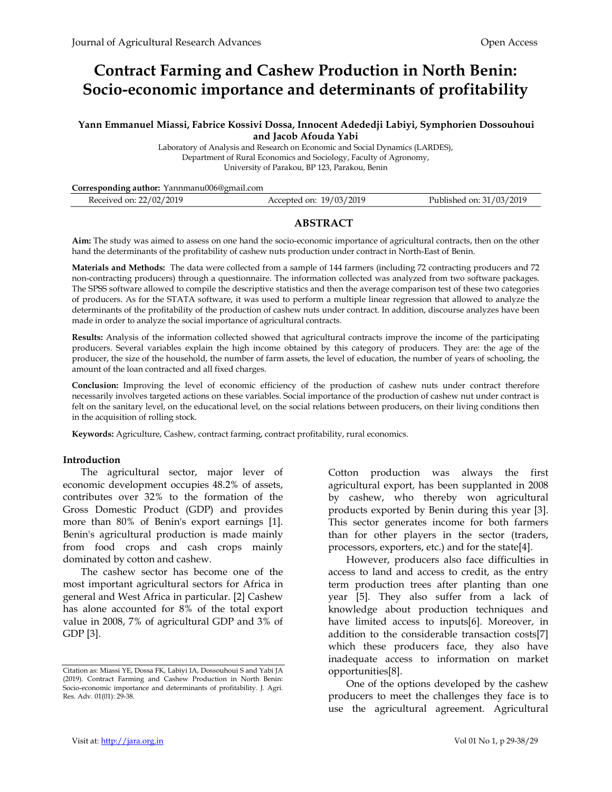# Contract Farming and Cashew Production in North Benin: Socio-economic importance and determinants of profitability

#### Yann Emmanuel Miassi, Fabrice Kossivi Dossa, Innocent Adededji Labiyi, Symphorien Dossouhoui and Jacob Afouda Yabi

Laboratory of Analysis and Research on Economic and Social Dynamics (LARDES), Department of Rural Economics and Sociology, Faculty of Agronomy, University of Parakou, BP 123, Parakou, Benin

| Corresponding author: Yannmanu006@gmail.com |                         |                          |
|---------------------------------------------|-------------------------|--------------------------|
| Received on: 22/02/2019                     | Accepted on: 19/03/2019 | Published on: 31/03/2019 |
|                                             |                         |                          |

# **ABSTRACT**

Aim: The study was aimed to assess on one hand the socio-economic importance of agricultural contracts, then on the other hand the determinants of the profitability of cashew nuts production under contract in North-East of Benin.

Materials and Methods: The data were collected from a sample of 144 farmers (including 72 contracting producers and 72 non-contracting producers) through a questionnaire. The information collected was analyzed from two software packages. The SPSS software allowed to compile the descriptive statistics and then the average comparison test of these two categories of producers. As for the STATA software, it was used to perform a multiple linear regression that allowed to analyze the determinants of the profitability of the production of cashew nuts under contract. In addition, discourse analyzes have been made in order to analyze the social importance of agricultural contracts.

Results: Analysis of the information collected showed that agricultural contracts improve the income of the participating producers. Several variables explain the high income obtained by this category of producers. They are: the age of the producer, the size of the household, the number of farm assets, the level of education, the number of years of schooling, the amount of the loan contracted and all fixed charges.

Conclusion: Improving the level of economic efficiency of the production of cashew nuts under contract therefore necessarily involves targeted actions on these variables. Social importance of the production of cashew nut under contract is felt on the sanitary level, on the educational level, on the social relations between producers, on their living conditions then in the acquisition of rolling stock.

Keywords: Agriculture, Cashew, contract farming, contract profitability, rural economics.

## Introduction

The agricultural sector, major lever of economic development occupies 48.2% of assets, contributes over 32% to the formation of the Gross Domestic Product (GDP) and provides more than 80% of Benin's export earnings [1]. Benin's agricultural production is made mainly from food crops and cash crops mainly dominated by cotton and cashew.

The cashew sector has become one of the most important agricultural sectors for Africa in general and West Africa in particular. [2] Cashew has alone accounted for 8% of the total export value in 2008, 7% of agricultural GDP and 3% of GDP [3].

Cotton production was always the first agricultural export, has been supplanted in 2008 by cashew, who thereby won agricultural products exported by Benin during this year [3]. This sector generates income for both farmers than for other players in the sector (traders, processors, exporters, etc.) and for the state[4].

However, producers also face difficulties in access to land and access to credit, as the entry term production trees after planting than one year [5]. They also suffer from a lack of knowledge about production techniques and have limited access to inputs[6]. Moreover, in addition to the considerable transaction costs[7] which these producers face, they also have inadequate access to information on market opportunities[8].

One of the options developed by the cashew producers to meet the challenges they face is to use the agricultural agreement. Agricultural

Citation as: Miassi YE, Dossa FK, Labiyi IA, Dossouhoui S and Yabi JA (2019). Contract Farming and Cashew Production in North Benin: Socio-economic importance and determinants of profitability. J. Agri. Res. Adv. 01(01): 29-38.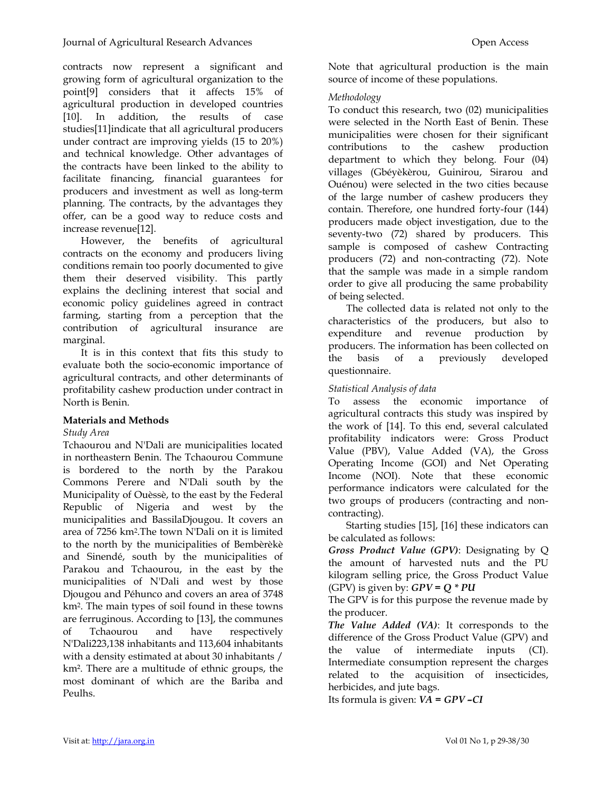contracts now represent a significant and growing form of agricultural organization to the point[9] considers that it affects 15% of agricultural production in developed countries [10]. In addition, the results of case studies[11]indicate that all agricultural producers under contract are improving yields (15 to 20%) and technical knowledge. Other advantages of the contracts have been linked to the ability to facilitate financing, financial guarantees for producers and investment as well as long-term planning. The contracts, by the advantages they offer, can be a good way to reduce costs and increase revenue[12].

However, the benefits of agricultural contracts on the economy and producers living conditions remain too poorly documented to give them their deserved visibility. This partly explains the declining interest that social and economic policy guidelines agreed in contract farming, starting from a perception that the contribution of agricultural insurance are marginal.

It is in this context that fits this study to evaluate both the socio-economic importance of agricultural contracts, and other determinants of profitability cashew production under contract in North is Benin.

# Materials and Methods

## Study Area

Tchaourou and N'Dali are municipalities located in northeastern Benin. The Tchaourou Commune is bordered to the north by the Parakou Commons Perere and N'Dali south by the Municipality of Ouèssè, to the east by the Federal Republic of Nigeria and west by the municipalities and BassilaDjougou. It covers an area of 7256 km<sup>2</sup> .The town N'Dali on it is limited to the north by the municipalities of Bembèrèkè and Sinendé, south by the municipalities of Parakou and Tchaourou, in the east by the municipalities of N'Dali and west by those Djougou and Péhunco and covers an area of 3748 km<sup>2</sup> . The main types of soil found in these towns are ferruginous. According to [13], the communes of Tchaourou and have respectively N'Dali223,138 inhabitants and 113,604 inhabitants with a density estimated at about 30 inhabitants / km². There are a multitude of ethnic groups, the most dominant of which are the Bariba and Peulhs.

Note that agricultural production is the main source of income of these populations.

# Methodology

To conduct this research, two (02) municipalities were selected in the North East of Benin. These municipalities were chosen for their significant contributions to the cashew production department to which they belong. Four (04) villages (Gbéyèkèrou, Guinirou, Sirarou and Ouénou) were selected in the two cities because of the large number of cashew producers they contain. Therefore, one hundred forty-four (144) producers made object investigation, due to the seventy-two (72) shared by producers. This sample is composed of cashew Contracting producers (72) and non-contracting (72). Note that the sample was made in a simple random order to give all producing the same probability of being selected.

The collected data is related not only to the characteristics of the producers, but also to expenditure and revenue production by producers. The information has been collected on the basis of a previously developed questionnaire.

# Statistical Analysis of data

To assess the economic importance of agricultural contracts this study was inspired by the work of [14]. To this end, several calculated profitability indicators were: Gross Product Value (PBV), Value Added (VA), the Gross Operating Income (GOI) and Net Operating Income (NOI). Note that these economic performance indicators were calculated for the two groups of producers (contracting and noncontracting).

Starting studies [15], [16] these indicators can be calculated as follows:

Gross Product Value (GPV): Designating by Q the amount of harvested nuts and the PU kilogram selling price, the Gross Product Value (GPV) is given by:  $GPV = Q * PU$ 

The GPV is for this purpose the revenue made by the producer.

The Value Added (VA): It corresponds to the difference of the Gross Product Value (GPV) and the value of intermediate inputs (CI). Intermediate consumption represent the charges related to the acquisition of insecticides, herbicides, and jute bags.

Its formula is given:  $VA = GPU - CI$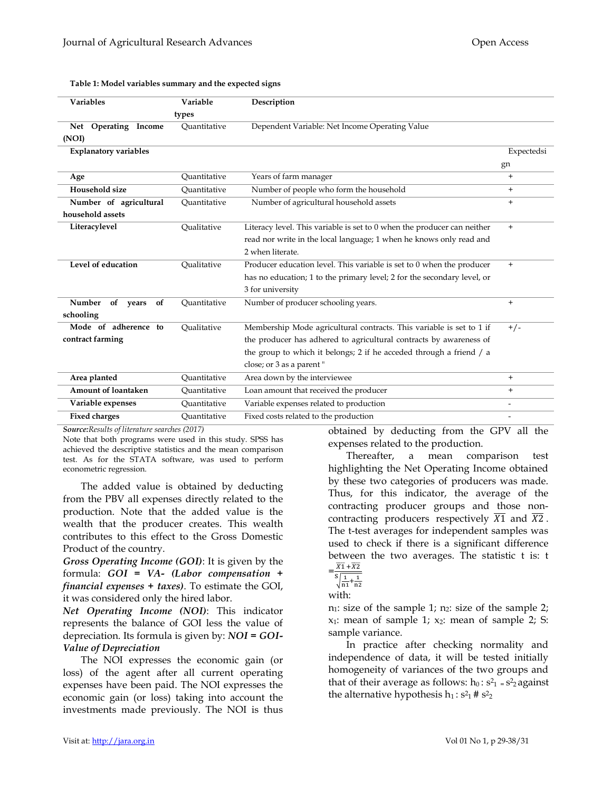| <b>Variables</b>             | Variable     | Description                                                             |                          |
|------------------------------|--------------|-------------------------------------------------------------------------|--------------------------|
|                              | types        |                                                                         |                          |
| Net Operating Income         | Ouantitative | Dependent Variable: Net Income Operating Value                          |                          |
| (NOI)                        |              |                                                                         |                          |
| <b>Explanatory variables</b> |              |                                                                         | Expectedsi               |
|                              |              |                                                                         | gn                       |
| Age                          | Ouantitative | Years of farm manager                                                   | $+$                      |
| Household size               | Ouantitative | Number of people who form the household                                 | $+$                      |
| Number of agricultural       | Quantitative | Number of agricultural household assets                                 | $+$                      |
| household assets             |              |                                                                         |                          |
| Literacylevel                | Oualitative  | Literacy level. This variable is set to 0 when the producer can neither | $+$                      |
|                              |              | read nor write in the local language; 1 when he knows only read and     |                          |
|                              |              | 2 when literate.                                                        |                          |
| Level of education           | Oualitative  | Producer education level. This variable is set to 0 when the producer   | $+$                      |
|                              |              | has no education; 1 to the primary level; 2 for the secondary level, or |                          |
|                              |              | 3 for university                                                        |                          |
| Number<br>of<br>of years     | Ouantitative | Number of producer schooling years.                                     | $+$                      |
| schooling                    |              |                                                                         |                          |
| Mode of adherence to         | Oualitative  | Membership Mode agricultural contracts. This variable is set to 1 if    | $+/-$                    |
| contract farming             |              | the producer has adhered to agricultural contracts by awareness of      |                          |
|                              |              | the group to which it belongs; 2 if he acceded through a friend / a     |                          |
|                              |              | close; or 3 as a parent "                                               |                          |
| Area planted                 | Quantitative | Area down by the interviewee                                            | $+$                      |
| Amount of loantaken          | Ouantitative | Loan amount that received the producer                                  | $+$                      |
| Variable expenses            | Ouantitative | Variable expenses related to production                                 | $\overline{\phantom{a}}$ |
| <b>Fixed charges</b>         | Ouantitative | Fixed costs related to the production                                   | $\overline{\phantom{a}}$ |

#### Table 1: Model variables summary and the expected signs

Source:Results of literature searches (2017)

Note that both programs were used in this study. SPSS has achieved the descriptive statistics and the mean comparison test. As for the STATA software, was used to perform econometric regression.

The added value is obtained by deducting from the PBV all expenses directly related to the production. Note that the added value is the wealth that the producer creates. This wealth contributes to this effect to the Gross Domestic Product of the country.

Gross Operating Income (GOI): It is given by the formula:  $GOI = VA- (Labor compensation +$ financial expenses + taxes). To estimate the GOI, it was considered only the hired labor.

Net Operating Income (NOI): This indicator represents the balance of GOI less the value of depreciation. Its formula is given by: NOI = GOI-Value of Depreciation

The NOI expresses the economic gain (or loss) of the agent after all current operating expenses have been paid. The NOI expresses the economic gain (or loss) taking into account the investments made previously. The NOI is thus

obtained by deducting from the GPV all the expenses related to the production.

Thereafter, a mean comparison test highlighting the Net Operating Income obtained by these two categories of producers was made. Thus, for this indicator, the average of the contracting producer groups and those noncontracting producers respectively  $\overline{X1}$  and  $\overline{X2}$ . The t-test averages for independent samples was used to check if there is a significant difference between the two averages. The statistic t is: t

$$
=\frac{\overline{X1}+\overline{X2}}{\overline{s}\sqrt{1+1}}
$$

$$
\sqrt{\frac{1}{n_1} + \frac{1}{n_2}}
$$

with:

 $n_1$ : size of the sample 1;  $n_2$ : size of the sample 2;  $x_1$ : mean of sample 1;  $x_2$ : mean of sample 2; S: sample variance.

In practice after checking normality and independence of data, it will be tested initially homogeneity of variances of the two groups and that of their average as follows:  $h_0: s^2 = s^2$  against the alternative hypothesis  $h_1: s^2 \cdot 1 \neq s^2 \cdot 2$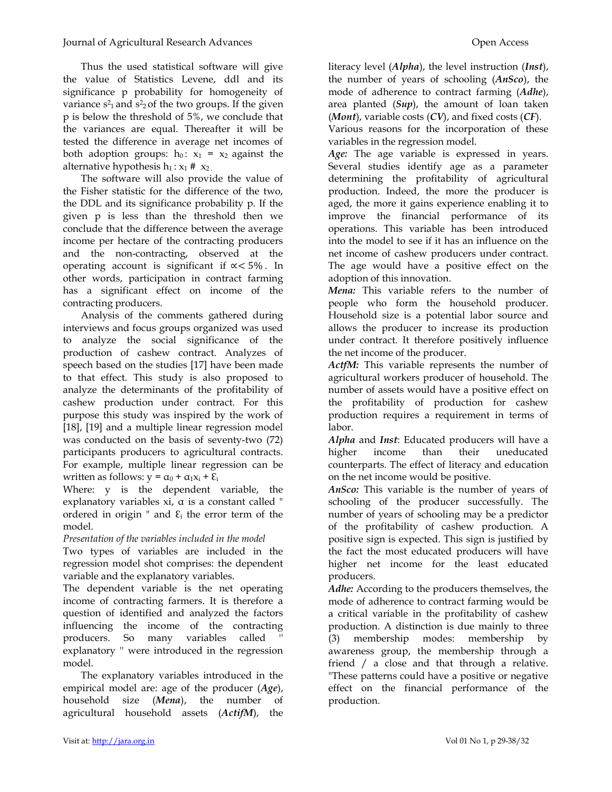Thus the used statistical software will give the value of Statistics Levene, ddl and its significance p probability for homogeneity of variance  $s^2$  and  $s^2$  of the two groups. If the given p is below the threshold of 5%, we conclude that the variances are equal. Thereafter it will be tested the difference in average net incomes of both adoption groups:  $h_0$ :  $x_1 = x_2$  against the alternative hypothesis  $h_1 : x_1 \# x_2$ .

The software will also provide the value of the Fisher statistic for the difference of the two, the DDL and its significance probability p. If the given p is less than the threshold then we conclude that the difference between the average income per hectare of the contracting producers and the non-contracting, observed at the operating account is significant if ∝< 5% . In other words, participation in contract farming has a significant effect on income of the contracting producers.

Analysis of the comments gathered during interviews and focus groups organized was used to analyze the social significance of the production of cashew contract. Analyzes of speech based on the studies [17] have been made to that effect. This study is also proposed to analyze the determinants of the profitability of cashew production under contract. For this purpose this study was inspired by the work of [18], [19] and a multiple linear regression model was conducted on the basis of seventy-two (72) participants producers to agricultural contracts. For example, multiple linear regression can be written as follows:  $y = \alpha_0 + \alpha_1 x_i + \varepsilon_i$ 

Where: y is the dependent variable, the explanatory variables xi, α is a constant called " ordered in origin " and  $\mathcal{E}_i$  the error term of the model.

Presentation of the variables included in the model

Two types of variables are included in the regression model shot comprises: the dependent variable and the explanatory variables.

The dependent variable is the net operating income of contracting farmers. It is therefore a question of identified and analyzed the factors influencing the income of the contracting producers. So many variables called explanatory '' were introduced in the regression model.

The explanatory variables introduced in the empirical model are: age of the producer  $(Age)$ , household size (Mena), the number of agricultural household assets (ActifM), the literacy level (*Alpha*), the level instruction (*Inst*), the number of years of schooling  $(Ansco)$ , the mode of adherence to contract farming (*Adhe*), area planted  $(Sup)$ , the amount of loan taken  $(Mont)$ , variable costs  $(CV)$ , and fixed costs  $(CF)$ . Various reasons for the incorporation of these variables in the regression model.

Age: The age variable is expressed in years. Several studies identify age as a parameter determining the profitability of agricultural production. Indeed, the more the producer is aged, the more it gains experience enabling it to improve the financial performance of its operations. This variable has been introduced into the model to see if it has an influence on the net income of cashew producers under contract. The age would have a positive effect on the adoption of this innovation.

Mena: This variable refers to the number of people who form the household producer. Household size is a potential labor source and allows the producer to increase its production under contract. It therefore positively influence the net income of the producer.

ActfM: This variable represents the number of agricultural workers producer of household. The number of assets would have a positive effect on the profitability of production for cashew production requires a requirement in terms of labor.

Alpha and Inst: Educated producers will have a higher income than their uneducated counterparts. The effect of literacy and education on the net income would be positive.

AnSco: This variable is the number of years of schooling of the producer successfully. The number of years of schooling may be a predictor of the profitability of cashew production. A positive sign is expected. This sign is justified by the fact the most educated producers will have higher net income for the least educated producers.

Adhe: According to the producers themselves, the mode of adherence to contract farming would be a critical variable in the profitability of cashew production. A distinction is due mainly to three (3) membership modes: membership by awareness group, the membership through a friend / a close and that through a relative. "These patterns could have a positive or negative effect on the financial performance of the production.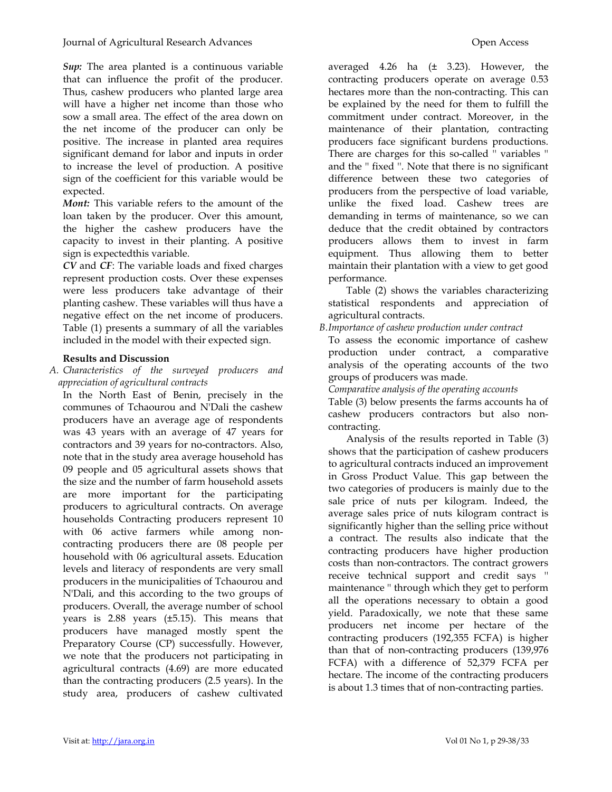Sup: The area planted is a continuous variable that can influence the profit of the producer. Thus, cashew producers who planted large area will have a higher net income than those who sow a small area. The effect of the area down on the net income of the producer can only be positive. The increase in planted area requires significant demand for labor and inputs in order to increase the level of production. A positive sign of the coefficient for this variable would be expected.

Mont: This variable refers to the amount of the loan taken by the producer. Over this amount, the higher the cashew producers have the capacity to invest in their planting. A positive sign is expectedthis variable.

CV and CF: The variable loads and fixed charges represent production costs. Over these expenses were less producers take advantage of their planting cashew. These variables will thus have a negative effect on the net income of producers. Table (1) presents a summary of all the variables included in the model with their expected sign.

# Results and Discussion

A. Characteristics of the surveyed producers and appreciation of agricultural contracts

In the North East of Benin, precisely in the communes of Tchaourou and N'Dali the cashew producers have an average age of respondents was 43 years with an average of 47 years for contractors and 39 years for no-contractors. Also, note that in the study area average household has 09 people and 05 agricultural assets shows that the size and the number of farm household assets are more important for the participating producers to agricultural contracts. On average households Contracting producers represent 10 with 06 active farmers while among noncontracting producers there are 08 people per household with 06 agricultural assets. Education levels and literacy of respondents are very small producers in the municipalities of Tchaourou and N'Dali, and this according to the two groups of producers. Overall, the average number of school years is 2.88 years (±5.15). This means that producers have managed mostly spent the Preparatory Course (CP) successfully. However, we note that the producers not participating in agricultural contracts (4.69) are more educated than the contracting producers (2.5 years). In the study area, producers of cashew cultivated averaged 4.26 ha  $(\pm 3.23)$ . However, the contracting producers operate on average 0.53 hectares more than the non-contracting. This can be explained by the need for them to fulfill the commitment under contract. Moreover, in the maintenance of their plantation, contracting producers face significant burdens productions. There are charges for this so-called '' variables '' and the '' fixed ''. Note that there is no significant difference between these two categories of producers from the perspective of load variable, unlike the fixed load. Cashew trees are demanding in terms of maintenance, so we can deduce that the credit obtained by contractors producers allows them to invest in farm equipment. Thus allowing them to better maintain their plantation with a view to get good performance.

Table (2) shows the variables characterizing statistical respondents and appreciation of agricultural contracts.

- B.Importance of cashew production under contract
	- To assess the economic importance of cashew production under contract, a comparative analysis of the operating accounts of the two groups of producers was made.
	- Comparative analysis of the operating accounts

Table (3) below presents the farms accounts ha of cashew producers contractors but also noncontracting.

Analysis of the results reported in Table (3) shows that the participation of cashew producers to agricultural contracts induced an improvement in Gross Product Value. This gap between the two categories of producers is mainly due to the sale price of nuts per kilogram. Indeed, the average sales price of nuts kilogram contract is significantly higher than the selling price without a contract. The results also indicate that the contracting producers have higher production costs than non-contractors. The contract growers receive technical support and credit says '' maintenance '' through which they get to perform all the operations necessary to obtain a good yield. Paradoxically, we note that these same producers net income per hectare of the contracting producers (192,355 FCFA) is higher than that of non-contracting producers (139,976 FCFA) with a difference of 52,379 FCFA per hectare. The income of the contracting producers is about 1.3 times that of non-contracting parties.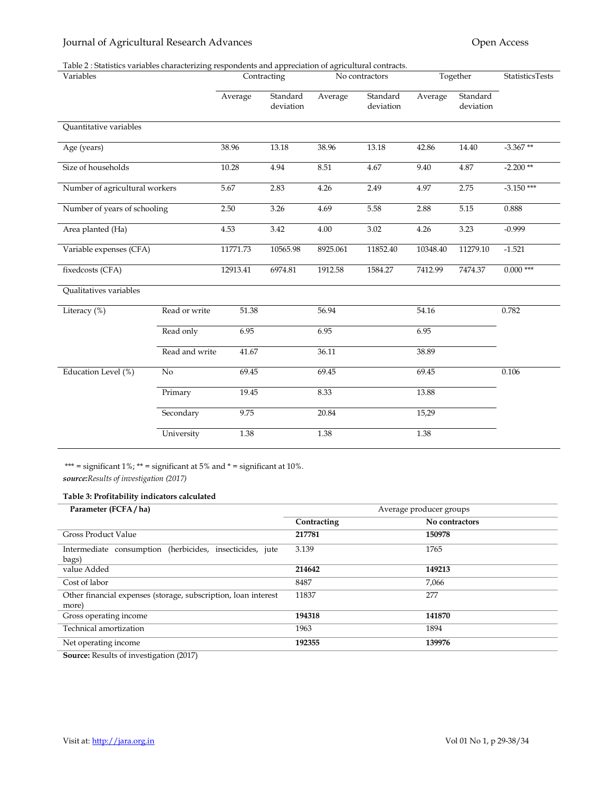# Journal of Agricultural Research Advances **Community** Community Community Community Community Community Community

#### Table 2 : Statistics variables characterizing respondents and appreciation of agricultural contracts.

| Variables                      |                | Contracting |                       | No contractors |                       | Together |                       | <b>StatisticsTests</b> |
|--------------------------------|----------------|-------------|-----------------------|----------------|-----------------------|----------|-----------------------|------------------------|
|                                |                | Average     | Standard<br>deviation | Average        | Standard<br>deviation | Average  | Standard<br>deviation |                        |
| Quantitative variables         |                |             |                       |                |                       |          |                       |                        |
| Age (years)                    |                | 38.96       | 13.18                 | 38.96          | 13.18                 | 42.86    | 14.40                 | $-3.367**$             |
| Size of households             |                | 10.28       | 4.94                  | 8.51           | 4.67                  | 9.40     | 4.87                  | $-2.200**$             |
| Number of agricultural workers |                | 5.67        | 2.83                  | 4.26           | 2.49                  | 4.97     | 2.75                  | $-3.150$ ***           |
| Number of years of schooling   |                | 2.50        | 3.26                  | 4.69           | 5.58                  | 2.88     | 5.15                  | 0.888                  |
| Area planted (Ha)              |                | 4.53        | 3.42                  | 4.00           | 3.02                  | 4.26     | 3.23                  | $-0.999$               |
| Variable expenses (CFA)        |                | 11771.73    | 10565.98              | 8925.061       | 11852.40              | 10348.40 | 11279.10              | $-1.521$               |
| fixedcosts (CFA)               |                | 12913.41    | 6974.81               | 1912.58        | 1584.27               | 7412.99  | 7474.37               | $0.000***$             |
| Qualitatives variables         |                |             |                       |                |                       |          |                       |                        |
| Literacy $(\%)$                | Read or write  | 51.38       |                       | 56.94          |                       | 54.16    |                       | 0.782                  |
|                                | Read only      | 6.95        |                       | 6.95           |                       | 6.95     |                       |                        |
|                                | Read and write | 41.67       |                       | 36.11          |                       | 38.89    |                       |                        |
| Education Level (%)            | No             | 69.45       |                       | 69.45          |                       | 69.45    |                       | 0.106                  |
|                                | Primary        | 19.45       |                       | 8.33           |                       | 13.88    |                       |                        |
|                                | Secondary      | 9.75        |                       | 20.84          |                       | 15,29    |                       |                        |
|                                | University     | 1.38        |                       | 1.38           |                       | 1.38     |                       |                        |

\*\*\* = significant  $1\%$ ; \*\* = significant at  $5\%$  and \* = significant at  $10\%$ . source:Results of investigation (2017)

#### Table 3: Profitability indicators calculated

| Parameter (FCFA/ha)                                                     | Average producer groups |                |  |
|-------------------------------------------------------------------------|-------------------------|----------------|--|
|                                                                         | Contracting             | No contractors |  |
| <b>Gross Product Value</b>                                              | 217781                  | 150978         |  |
| Intermediate consumption (herbicides, insecticides, jute<br>bags)       | 3.139                   | 1765           |  |
| value Added                                                             | 214642                  | 149213         |  |
| Cost of labor                                                           | 8487                    | 7,066          |  |
| Other financial expenses (storage, subscription, loan interest<br>more) | 11837                   | 277            |  |
| Gross operating income                                                  | 194318                  | 141870         |  |
| Technical amortization                                                  | 1963                    | 1894           |  |
| Net operating income                                                    | 192355                  | 139976         |  |

Source: Results of investigation (2017)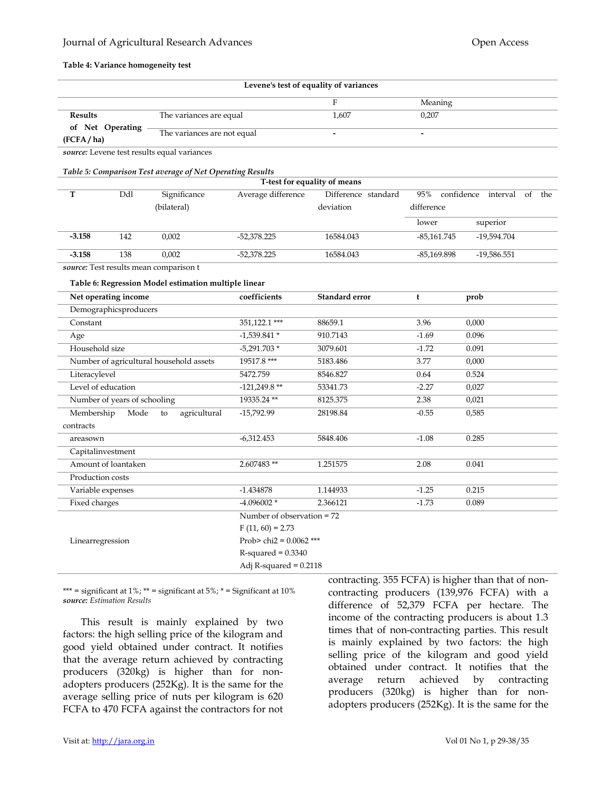### Journal of Agricultural Research Advances Open Access

#### Table 4: Variance homogeneity test

| Levene's test of equality of variances                                                                    |                              |                                                           |                              |                     |               |                               |  |  |
|-----------------------------------------------------------------------------------------------------------|------------------------------|-----------------------------------------------------------|------------------------------|---------------------|---------------|-------------------------------|--|--|
|                                                                                                           |                              |                                                           |                              | $\mathbf{F}$        | Meaning       |                               |  |  |
| <b>Results</b><br>The variances are equal<br>of Net Operating<br>The variances are not equal<br>(FCFA/ha) |                              |                                                           | 1,607                        | 0,207               |               |                               |  |  |
|                                                                                                           |                              |                                                           | $\overline{a}$               |                     |               |                               |  |  |
|                                                                                                           |                              | source: Levene test results equal variances               |                              |                     |               |                               |  |  |
|                                                                                                           |                              |                                                           |                              |                     |               |                               |  |  |
|                                                                                                           |                              | Table 5: Comparison Test average of Net Operating Results | T-test for equality of means |                     |               |                               |  |  |
| T                                                                                                         | Ddl                          | Significance                                              | Average difference           | Difference standard | 95%           | confidence interval of<br>the |  |  |
|                                                                                                           |                              | (bilateral)                                               |                              | deviation           | difference    |                               |  |  |
|                                                                                                           |                              |                                                           |                              |                     | lower         | superior                      |  |  |
| $-3.158$                                                                                                  | 142                          | 0,002                                                     | $-52,378.225$                | 16584.043           | $-85,161.745$ | -19,594.704                   |  |  |
| $-3.158$                                                                                                  | 138                          | 0,002                                                     | $-52,378.225$                | 16584.043           | $-85,169.898$ | $-19,586.551$                 |  |  |
|                                                                                                           |                              | source: Test results mean comparison t                    |                              |                     |               |                               |  |  |
|                                                                                                           |                              |                                                           |                              |                     |               |                               |  |  |
|                                                                                                           |                              | Table 6: Regression Model estimation multiple linear      |                              |                     |               |                               |  |  |
|                                                                                                           | Net operating income         |                                                           | coefficients                 | Standard error      | t             | prob                          |  |  |
|                                                                                                           | Demographicsproducers        |                                                           |                              |                     |               |                               |  |  |
| Constant                                                                                                  |                              |                                                           | 351,122.1 ***                | 88659.1             | 3.96          | 0,000                         |  |  |
| Age                                                                                                       |                              |                                                           | $-1,539.841*$                | 910.7143            | $-1.69$       | 0.096                         |  |  |
| Household size                                                                                            |                              |                                                           | $-5,291.703*$                | 3079.601            | $-1.72$       | 0.091                         |  |  |
| Number of agricultural household assets                                                                   |                              | 19517.8***                                                | 5183.486                     | 3.77                | 0,000         |                               |  |  |
| Literacylevel                                                                                             |                              |                                                           | 5472.759                     | 8546.827            | 0.64          | 0.524                         |  |  |
| Level of education                                                                                        |                              |                                                           | $-121,249.8**$               | 53341.73            | $-2.27$       | 0,027                         |  |  |
|                                                                                                           | Number of years of schooling |                                                           | 19335.24**                   | 8125.375            | 2.38          | 0,021                         |  |  |
| Membership                                                                                                | Mode                         | agricultural<br>to                                        | -15,792.99                   | 28198.84            | $-0.55$       | 0,585                         |  |  |
| contracts                                                                                                 |                              |                                                           |                              |                     |               |                               |  |  |
| areasown                                                                                                  |                              |                                                           | $-6,312.453$                 | 5848.406            | $-1.08$       | 0.285                         |  |  |
| Capitalinvestment                                                                                         |                              |                                                           |                              |                     |               |                               |  |  |
|                                                                                                           | Amount of loantaken          |                                                           | 2.607483**                   | 1.251575            | 2.08          | 0.041                         |  |  |
| Production costs                                                                                          |                              |                                                           |                              |                     |               |                               |  |  |
| Variable expenses                                                                                         |                              |                                                           | $-1.434878$                  | 1.144933            | $-1.25$       | 0.215                         |  |  |
| Fixed charges                                                                                             |                              |                                                           | $-4.096002*$                 | 2.366121            | $-1.73$       | 0.089                         |  |  |
|                                                                                                           |                              |                                                           | Number of observation $= 72$ |                     |               |                               |  |  |
| Linearregression                                                                                          |                              |                                                           | $F(11, 60) = 2.73$           |                     |               |                               |  |  |
|                                                                                                           |                              |                                                           | Prob> chi2 = $0.0062$ ***    |                     |               |                               |  |  |
|                                                                                                           |                              |                                                           | $R$ -squared = $0.3340$      |                     |               |                               |  |  |
|                                                                                                           |                              |                                                           | Adj R-squared = $0.2118$     |                     |               |                               |  |  |

\*\*\* = significant at  $1\%$ ; \*\* = significant at  $5\%$ ; \* = Significant at  $10\%$ source: Estimation Results

This result is mainly explained by two factors: the high selling price of the kilogram and good yield obtained under contract. It notifies that the average return achieved by contracting producers (320kg) is higher than for nonadopters producers (252Kg). It is the same for the average selling price of nuts per kilogram is 620 FCFA to 470 FCFA against the contractors for not contracting. 355 FCFA) is higher than that of noncontracting producers (139,976 FCFA) with a difference of 52,379 FCFA per hectare. The income of the contracting producers is about 1.3 times that of non-contracting parties. This result is mainly explained by two factors: the high selling price of the kilogram and good yield obtained under contract. It notifies that the average return achieved by contracting producers (320kg) is higher than for nonadopters producers (252Kg). It is the same for the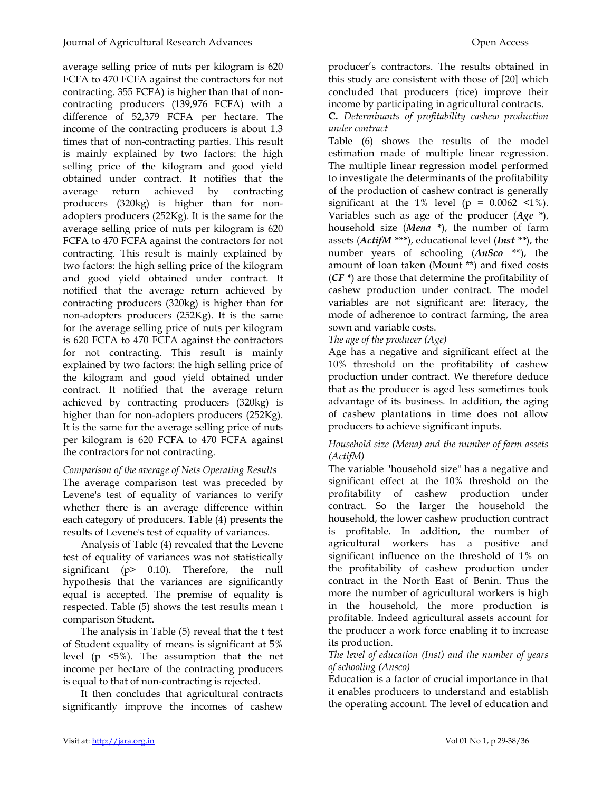average selling price of nuts per kilogram is 620 FCFA to 470 FCFA against the contractors for not contracting. 355 FCFA) is higher than that of noncontracting producers (139,976 FCFA) with a difference of 52,379 FCFA per hectare. The income of the contracting producers is about 1.3 times that of non-contracting parties. This result is mainly explained by two factors: the high selling price of the kilogram and good yield obtained under contract. It notifies that the average return achieved by contracting producers (320kg) is higher than for nonadopters producers (252Kg). It is the same for the average selling price of nuts per kilogram is 620 FCFA to 470 FCFA against the contractors for not contracting. This result is mainly explained by two factors: the high selling price of the kilogram and good yield obtained under contract. It notified that the average return achieved by contracting producers (320kg) is higher than for non-adopters producers (252Kg). It is the same for the average selling price of nuts per kilogram is 620 FCFA to 470 FCFA against the contractors for not contracting. This result is mainly explained by two factors: the high selling price of the kilogram and good yield obtained under contract. It notified that the average return achieved by contracting producers (320kg) is higher than for non-adopters producers (252Kg). It is the same for the average selling price of nuts per kilogram is 620 FCFA to 470 FCFA against the contractors for not contracting.

# Comparison of the average of Nets Operating Results

The average comparison test was preceded by Levene's test of equality of variances to verify whether there is an average difference within each category of producers. Table (4) presents the results of Levene's test of equality of variances.

Analysis of Table (4) revealed that the Levene test of equality of variances was not statistically significant (p> 0.10). Therefore, the null hypothesis that the variances are significantly equal is accepted. The premise of equality is respected. Table (5) shows the test results mean t comparison Student.

The analysis in Table (5) reveal that the t test of Student equality of means is significant at 5% level (p <5%). The assumption that the net income per hectare of the contracting producers is equal to that of non-contracting is rejected.

It then concludes that agricultural contracts significantly improve the incomes of cashew producer's contractors. The results obtained in this study are consistent with those of [20] which concluded that producers (rice) improve their income by participating in agricultural contracts.

C. Determinants of profitability cashew production under contract

Table (6) shows the results of the model estimation made of multiple linear regression. The multiple linear regression model performed to investigate the determinants of the profitability of the production of cashew contract is generally significant at the 1% level ( $p = 0.0062$  <1%). Variables such as age of the producer  $(Age^*)$ , household size (Mena \*), the number of farm assets ( $ActifM$ \*\*\*), educational level (Inst \*\*), the number years of schooling  $(Ansco$  \*\*), the amount of loan taken (Mount \*\*) and fixed costs (CF \*) are those that determine the profitability of cashew production under contract. The model variables are not significant are: literacy, the mode of adherence to contract farming, the area sown and variable costs.

# The age of the producer (Age)

Age has a negative and significant effect at the 10% threshold on the profitability of cashew production under contract. We therefore deduce that as the producer is aged less sometimes took advantage of its business. In addition, the aging of cashew plantations in time does not allow producers to achieve significant inputs.

# Household size (Mena) and the number of farm assets (ActifM)

The variable "household size" has a negative and significant effect at the 10% threshold on the profitability of cashew production under contract. So the larger the household the household, the lower cashew production contract is profitable. In addition, the number of agricultural workers has a positive and significant influence on the threshold of 1% on the profitability of cashew production under contract in the North East of Benin. Thus the more the number of agricultural workers is high in the household, the more production is profitable. Indeed agricultural assets account for the producer a work force enabling it to increase its production.

## The level of education (Inst) and the number of years of schooling (Ansco)

Education is a factor of crucial importance in that it enables producers to understand and establish the operating account. The level of education and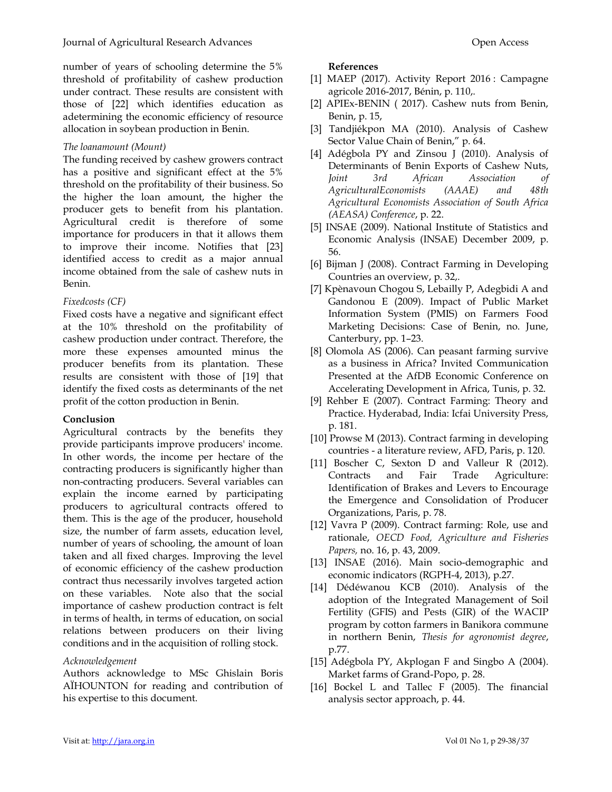number of years of schooling determine the 5% threshold of profitability of cashew production under contract. These results are consistent with those of [22] which identifies education as adetermining the economic efficiency of resource allocation in soybean production in Benin.

# The loanamount (Mount)

The funding received by cashew growers contract has a positive and significant effect at the 5% threshold on the profitability of their business. So the higher the loan amount, the higher the producer gets to benefit from his plantation. Agricultural credit is therefore of some importance for producers in that it allows them to improve their income. Notifies that [23] identified access to credit as a major annual income obtained from the sale of cashew nuts in Benin.

# Fixedcosts (CF)

Fixed costs have a negative and significant effect at the 10% threshold on the profitability of cashew production under contract. Therefore, the more these expenses amounted minus the producer benefits from its plantation. These results are consistent with those of [19] that identify the fixed costs as determinants of the net profit of the cotton production in Benin.

# Conclusion

Agricultural contracts by the benefits they provide participants improve producers' income. In other words, the income per hectare of the contracting producers is significantly higher than non-contracting producers. Several variables can explain the income earned by participating producers to agricultural contracts offered to them. This is the age of the producer, household size, the number of farm assets, education level, number of years of schooling, the amount of loan taken and all fixed charges. Improving the level of economic efficiency of the cashew production contract thus necessarily involves targeted action on these variables. Note also that the social importance of cashew production contract is felt in terms of health, in terms of education, on social relations between producers on their living conditions and in the acquisition of rolling stock.

# Acknowledgement

Authors acknowledge to MSc Ghislain Boris AÏHOUNTON for reading and contribution of his expertise to this document.

#### References

- [1] MAEP (2017). Activity Report 2016 : Campagne agricole 2016-2017, Bénin, p. 110,.
- [2] APIEx-BENIN ( 2017). Cashew nuts from Benin, Benin, p. 15,
- [3] Tandjiékpon MA (2010). Analysis of Cashew Sector Value Chain of Benin," p. 64.
- [4] Adégbola PY and Zinsou J (2010). Analysis of Determinants of Benin Exports of Cashew Nuts, Joint 3rd African Association of AgriculturalEconomists (AAAE) and 48th Agricultural Economists Association of South Africa (AEASA) Conference, p. 22.
- [5] INSAE (2009). National Institute of Statistics and Economic Analysis (INSAE) December 2009, p. 56.
- [6] Bijman J (2008). Contract Farming in Developing Countries an overview, p. 32,.
- [7] Kpènavoun Chogou S, Lebailly P, Adegbidi A and Gandonou E (2009). Impact of Public Market Information System (PMIS) on Farmers Food Marketing Decisions: Case of Benin, no. June, Canterbury, pp. 1–23.
- [8] Olomola AS (2006). Can peasant farming survive as a business in Africa? Invited Communication Presented at the AfDB Economic Conference on Accelerating Development in Africa, Tunis, p. 32.
- [9] Rehber E (2007). Contract Farming: Theory and Practice. Hyderabad, India: Icfai University Press, p. 181.
- [10] Prowse M (2013). Contract farming in developing countries - a literature review, AFD, Paris, p. 120.
- [11] Boscher C, Sexton D and Valleur R (2012). Contracts and Fair Trade Agriculture: Identification of Brakes and Levers to Encourage the Emergence and Consolidation of Producer Organizations, Paris, p. 78.
- [12] Vavra P (2009). Contract farming: Role, use and rationale, OECD Food, Agriculture and Fisheries Papers, no. 16, p. 43, 2009.
- [13] INSAE (2016). Main socio-demographic and economic indicators (RGPH-4, 2013), p.27.
- [14] Dédéwanou KCB (2010). Analysis of the adoption of the Integrated Management of Soil Fertility (GFIS) and Pests (GIR) of the WACIP program by cotton farmers in Banikora commune in northern Benin, Thesis for agronomist degree, p.77.
- [15] Adégbola PY, Akplogan F and Singbo A (2004). Market farms of Grand-Popo, p. 28.
- [16] Bockel L and Tallec F (2005). The financial analysis sector approach, p. 44.